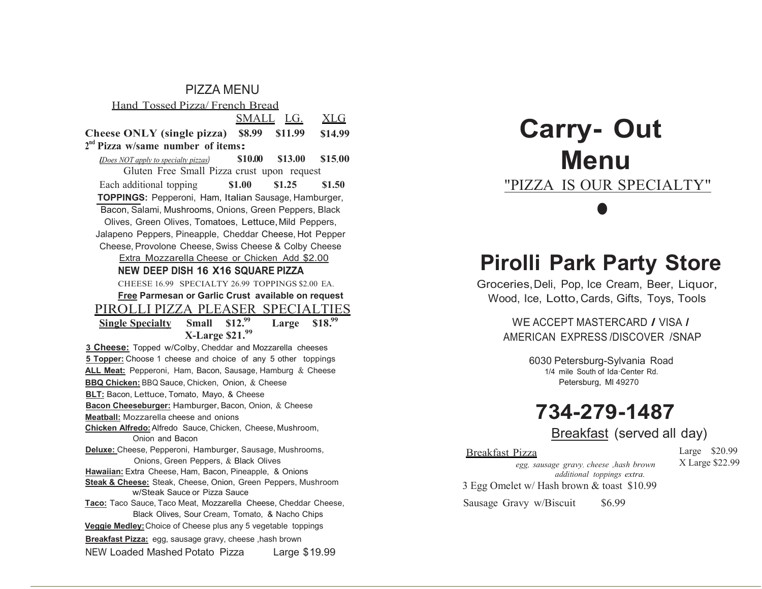#### PIZZA MENU

Hand Tossed Pizza/ French Bread

 SMALL LG. XLG

Cheese ONLY (single pizza) \$8.99 \$11.99 \$14.99

### $2<sup>nd</sup>$  Pizza w/same number of items:

 $\eta_{\text{Does NOT}}$  apply to specialty pizzas)  $$10.00$   $$13.00$   $$15.00$ Gluten Free Small Pizza crust upon request Each additional topping \$1.00 \$1.25 \$1.50 TOPPINGS: Pepperoni, Ham, Italian Sausage, Hamburger, Bacon, Salami, Mushrooms, Onions, Green Peppers, Black Olives, Green Olives, Tomatoes, Lettuce, Mild Peppers, Jalapeno Peppers, Pineapple, Cheddar Cheese, Hot Pepper Cheese, Provolone Cheese, Swiss Cheese & Colby Cheese

#### Extra Mozzarella Cheese or Chicken Add \$2.00

NEW DEEP DISH 16 X16 SQUARE PIZZA

CHEESE 16.99 SPECIALTY 26.99 TOPPINGS \$2.00 EA.

Free Parmesan or Garlic Crust available on request

# PIROLLI PIZZA PLEASER SPECIALTIES<br>Single Specialty Small \$12.99 Large \$18.99

Single Specialty Small  $$12.<sup>99</sup>$  Large  $$18.<sup>99</sup>$ X-Large \$21.99

3 Cheese: Topped w/Colby, Cheddar and Mozzarella cheeses 5 Topper: Choose 1 cheese and choice of any 5 other toppings ALL Meat: Pepperoni, Ham, Bacon, Sausage, Hamburg & Cheese **BBQ Chicken: BBQ Sauce, Chicken, Onion, & Cheese BLT:** Bacon, Lettuce, Tomato, Mayo, & Cheese Bacon Cheeseburger: Hamburger, Bacon, Onion, & Cheese Meatball: Mozzarella cheese and onions Chicken Alfredo:Alfredo Sauce, Chicken, Cheese, Mushroom, Onion and Bacon Deluxe: Cheese, Pepperoni, Hamburger, Sausage, Mushrooms, Onions, Green Peppers, & Black Olives Hawaiian: Extra Cheese, Ham, Bacon, Pineapple, & Onions Steak & Cheese: Steak, Cheese, Onion, Green Peppers, Mushroom w/Steak Sauce or Pizza Sauce Taco: Taco Sauce, Taco Meat, Mozzarella Cheese, Cheddar Cheese, Black Olives, Sour Cream, Tomato, & Nacho Chips Veggie Medley:Choice of Cheese plus any 5 vegetable toppings

Breakfast Pizza: egg, sausage gravy, cheese ,hash brown

NEW Loaded Mashed Potato Pizza Large \$19.99

# Carry- Out Menu "PIZZA IS OUR SPECIALTY"  $\bullet$

# Pirolli Park Party Store

Groceries, Deli, Pop, Ice Cream, Beer, Liquor, Wood, Ice, Lotto, Cards, Gifts, Toys, Tools

> WE ACCEPT MASTERCARD / VISA / AMERICAN EXPRESS /DISCOVER /SNAP

> > 6030 Petersburg-Sylvania Road 1/4 mile South of Ida·Center Rd. Petersburg, Ml 49270

# 734-279-1487

Breakfast (served all day)

#### Breakfast Pizza

Large \$20.99 X Large \$22.99

additional toppings extra. 3 Egg Omelet w/ Hash brown & toast \$10.99

egg, sausage gravy, cheese ,hash brown

Sausage Gravy w/Biscuit \$6.99